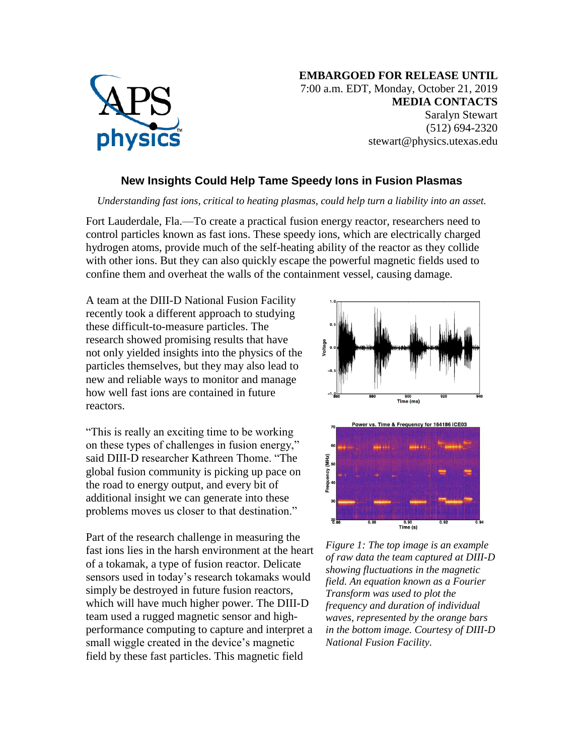

## **New Insights Could Help Tame Speedy Ions in Fusion Plasmas**

*Understanding fast ions, critical to heating plasmas, could help turn a liability into an asset.*

Fort Lauderdale, Fla.—To create a practical fusion energy reactor, researchers need to control particles known as fast ions. These speedy ions, which are electrically charged hydrogen atoms, provide much of the self-heating ability of the reactor as they collide with other ions. But they can also quickly escape the powerful magnetic fields used to confine them and overheat the walls of the containment vessel, causing damage.

A team at the DIII-D National Fusion Facility recently took a different approach to studying these difficult-to-measure particles. The research showed promising results that have not only yielded insights into the physics of the particles themselves, but they may also lead to new and reliable ways to monitor and manage how well fast ions are contained in future reactors.

"This is really an exciting time to be working on these types of challenges in fusion energy," said DIII-D researcher Kathreen Thome. "The global fusion community is picking up pace on the road to energy output, and every bit of additional insight we can generate into these problems moves us closer to that destination."

Part of the research challenge in measuring the fast ions lies in the harsh environment at the heart of a tokamak, a type of fusion reactor. Delicate sensors used in today's research tokamaks would simply be destroyed in future fusion reactors, which will have much higher power. The DIII-D team used a rugged magnetic sensor and highperformance computing to capture and interpret a small wiggle created in the device's magnetic field by these fast particles. This magnetic field



*Figure 1: The top image is an example of raw data the team captured at DIII-D showing fluctuations in the magnetic field. An equation known as a Fourier Transform was used to plot the frequency and duration of individual waves, represented by the orange bars in the bottom image. Courtesy of DIII-D National Fusion Facility.*